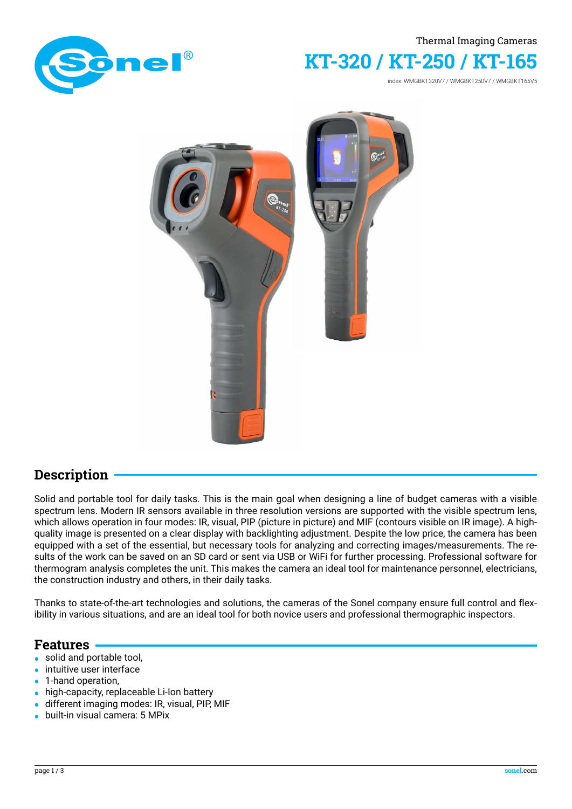

#### Thermal Imaging Cameras

# **KT-320 / KT-250 / KT-165**

index: WMGBKT320V7 / WMGBKT250V7 / WMGBKT165V5



### **Description**

Solid and portable tool for daily tasks. This is the main goal when designing a line of budget cameras with a visible spectrum lens. Modern IR sensors available in three resolution versions are supported with the visible spectrum lens, which allows operation in four modes: IR, visual, PIP (picture in picture) and MIF (contours visible on IR image). A highquality image is presented on a clear display with backlighting adjustment. Despite the low price, the camera has been equipped with a set of the essential, but necessary tools for analyzing and correcting images/measurements. The results of the work can be saved on an SD card or sent via USB or WiFi for further processing. Professional software for thermogram analysis completes the unit. This makes the camera an ideal tool for maintenance personnel, electricians, the construction industry and others, in their daily tasks.

Thanks to state-of-the-art technologies and solutions, the cameras of the Sonel company ensure full control and flexibility in various situations, and are an ideal tool for both novice users and professional thermographic inspectors.

### **Features**

- **•** solid and portable tool,
- intuitive user interface<br>• 1-hand operation.
- 1-hand operation,<br>• high-capacity repl
- **•** high-capacity, replaceable Li-Ion battery
- **•** different imaging modes: IR, visual, PIP, MIF
- **•** built-in visual camera: 5 MPix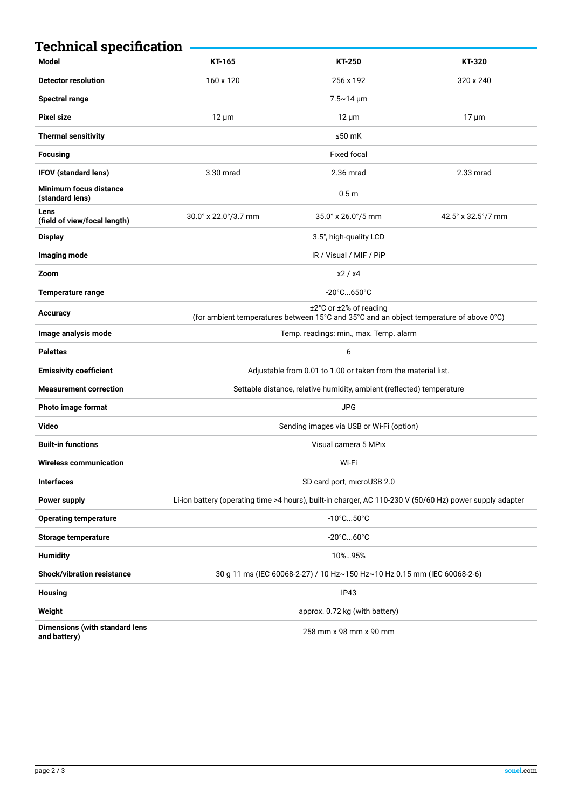| <b>Technical specification</b>                        |                                                                                                                   |                    |                    |
|-------------------------------------------------------|-------------------------------------------------------------------------------------------------------------------|--------------------|--------------------|
| <b>Model</b>                                          | KT-165                                                                                                            | <b>KT-250</b>      | KT-320             |
| <b>Detector resolution</b>                            | 160 x 120                                                                                                         | 256 x 192          | 320 x 240          |
| <b>Spectral range</b>                                 |                                                                                                                   | $7.5 - 14 \mu m$   |                    |
| <b>Pixel size</b>                                     | $12 \mu m$                                                                                                        | $12 \mu m$         | $17 \mu m$         |
| <b>Thermal sensitivity</b>                            |                                                                                                                   | ≤50 $mK$           |                    |
| <b>Focusing</b>                                       |                                                                                                                   | <b>Fixed focal</b> |                    |
| <b>IFOV (standard lens)</b>                           | 3.30 mrad                                                                                                         | 2.36 mrad          | 2.33 mrad          |
| <b>Minimum focus distance</b><br>(standard lens)      |                                                                                                                   | 0.5 <sub>m</sub>   |                    |
| Lens<br>(field of view/focal length)                  | $30.0^\circ \times 22.0^\circ / 3.7$ mm                                                                           | 35.0° x 26.0°/5 mm | 42.5° x 32.5°/7 mm |
| <b>Display</b>                                        | 3.5", high-quality LCD                                                                                            |                    |                    |
| Imaging mode                                          | IR / Visual / MIF / PiP                                                                                           |                    |                    |
| Zoom                                                  | x2 / x4                                                                                                           |                    |                    |
| <b>Temperature range</b>                              | $-20^{\circ}$ C650 $^{\circ}$ C                                                                                   |                    |                    |
| Accuracy                                              | ±2°C or ±2% of reading<br>(for ambient temperatures between 15°C and 35°C and an object temperature of above 0°C) |                    |                    |
| Image analysis mode                                   | Temp. readings: min., max. Temp. alarm                                                                            |                    |                    |
| <b>Palettes</b>                                       |                                                                                                                   | 6                  |                    |
| <b>Emissivity coefficient</b>                         | Adjustable from 0.01 to 1.00 or taken from the material list.                                                     |                    |                    |
| <b>Measurement correction</b>                         | Settable distance, relative humidity, ambient (reflected) temperature                                             |                    |                    |
| Photo image format                                    | <b>JPG</b>                                                                                                        |                    |                    |
| Video                                                 | Sending images via USB or Wi-Fi (option)                                                                          |                    |                    |
| <b>Built-in functions</b>                             | Visual camera 5 MPix                                                                                              |                    |                    |
| Wireless communication                                | Wi-Fi                                                                                                             |                    |                    |
| <b>Interfaces</b>                                     | SD card port, microUSB 2.0                                                                                        |                    |                    |
| Power supply                                          | Li-ion battery (operating time >4 hours), built-in charger, AC 110-230 V (50/60 Hz) power supply adapter          |                    |                    |
| <b>Operating temperature</b>                          | $-10^{\circ}$ C $$ 50 $^{\circ}$ C                                                                                |                    |                    |
| <b>Storage temperature</b>                            | $-20^{\circ}$ C $60^{\circ}$ C                                                                                    |                    |                    |
| <b>Humidity</b>                                       | 10%95%                                                                                                            |                    |                    |
| <b>Shock/vibration resistance</b>                     | 30 g 11 ms (IEC 60068-2-27) / 10 Hz~150 Hz~10 Hz 0.15 mm (IEC 60068-2-6)                                          |                    |                    |
| <b>Housing</b>                                        | IP43                                                                                                              |                    |                    |
| Weight                                                | approx. 0.72 kg (with battery)                                                                                    |                    |                    |
| <b>Dimensions (with standard lens</b><br>and battery) | 258 mm x 98 mm x 90 mm                                                                                            |                    |                    |